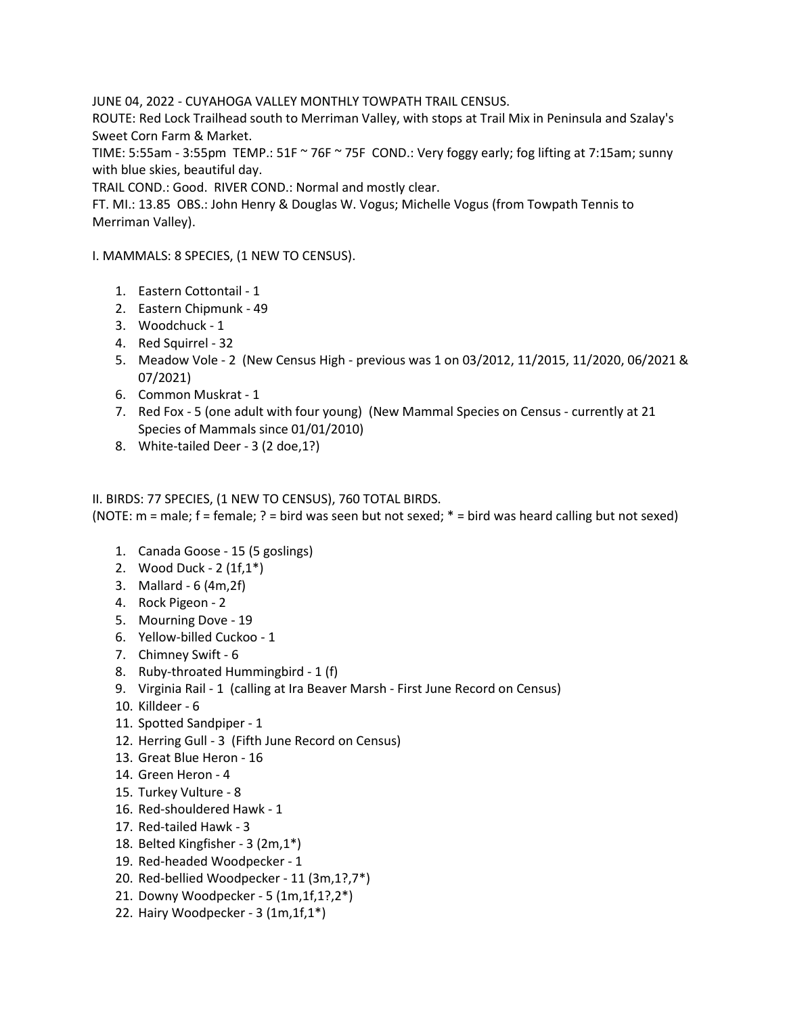JUNE 04, 2022 - CUYAHOGA VALLEY MONTHLY TOWPATH TRAIL CENSUS.

ROUTE: Red Lock Trailhead south to Merriman Valley, with stops at Trail Mix in Peninsula and Szalay's Sweet Corn Farm & Market.

TIME: 5:55am - 3:55pm TEMP.: 51F  $\sim$  76F  $\sim$  75F COND.: Very foggy early; fog lifting at 7:15am; sunny with blue skies, beautiful day.

TRAIL COND.: Good. RIVER COND.: Normal and mostly clear.

FT. MI.: 13.85 OBS.: John Henry & Douglas W. Vogus; Michelle Vogus (from Towpath Tennis to Merriman Valley).

I. MAMMALS: 8 SPECIES, (1 NEW TO CENSUS).

- 1. Eastern Cottontail 1
- 2. Eastern Chipmunk 49
- 3. Woodchuck 1
- 4. Red Squirrel 32
- 5. Meadow Vole 2 (New Census High previous was 1 on 03/2012, 11/2015, 11/2020, 06/2021 & 07/2021)
- 6. Common Muskrat 1
- 7. Red Fox 5 (one adult with four young) (New Mammal Species on Census currently at 21 Species of Mammals since 01/01/2010)
- 8. White-tailed Deer 3 (2 doe,1?)

## II. BIRDS: 77 SPECIES, (1 NEW TO CENSUS), 760 TOTAL BIRDS.

(NOTE:  $m = male$ ;  $f = female$ ;  $r = bird$  was seen but not sexed;  $* = bird$  was heard calling but not sexed)

- 1. Canada Goose 15 (5 goslings)
- 2. Wood Duck 2 (1f,1\*)
- 3. Mallard 6 (4m,2f)
- 4. Rock Pigeon 2
- 5. Mourning Dove 19
- 6. Yellow-billed Cuckoo 1
- 7. Chimney Swift 6
- 8. Ruby-throated Hummingbird 1 (f)
- 9. Virginia Rail 1 (calling at Ira Beaver Marsh First June Record on Census)
- 10. Killdeer 6
- 11. Spotted Sandpiper 1
- 12. Herring Gull 3 (Fifth June Record on Census)
- 13. Great Blue Heron 16
- 14. Green Heron 4
- 15. Turkey Vulture 8
- 16. Red-shouldered Hawk 1
- 17. Red-tailed Hawk 3
- 18. Belted Kingfisher 3 (2m,1\*)
- 19. Red-headed Woodpecker 1
- 20. Red-bellied Woodpecker 11 (3m,1?,7\*)
- 21. Downy Woodpecker 5 (1m,1f,1?,2\*)
- 22. Hairy Woodpecker 3 (1m,1f,1\*)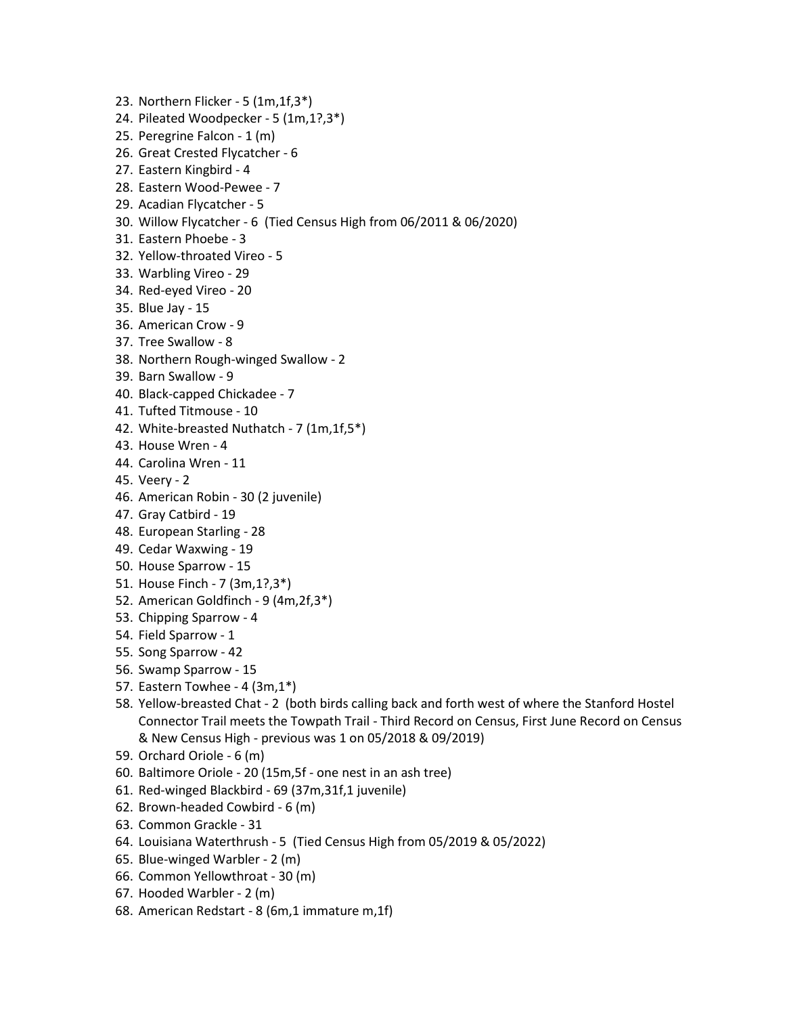- 23. Northern Flicker 5 (1m,1f,3\*)
- 24. Pileated Woodpecker 5 (1m,1?,3\*)
- 25. Peregrine Falcon 1 (m)
- 26. Great Crested Flycatcher 6
- 27. Eastern Kingbird 4
- 28. Eastern Wood-Pewee 7
- 29. Acadian Flycatcher 5
- 30. Willow Flycatcher 6 (Tied Census High from 06/2011 & 06/2020)
- 31. Eastern Phoebe 3
- 32. Yellow-throated Vireo 5
- 33. Warbling Vireo 29
- 34. Red-eyed Vireo 20
- 35. Blue Jay 15
- 36. American Crow 9
- 37. Tree Swallow 8
- 38. Northern Rough-winged Swallow 2
- 39. Barn Swallow 9
- 40. Black-capped Chickadee 7
- 41. Tufted Titmouse 10
- 42. White-breasted Nuthatch 7 (1m,1f,5\*)
- 43. House Wren 4
- 44. Carolina Wren 11
- 45. Veery 2
- 46. American Robin 30 (2 juvenile)
- 47. Gray Catbird 19
- 48. European Starling 28
- 49. Cedar Waxwing 19
- 50. House Sparrow 15
- 51. House Finch 7 (3m,1?,3\*)
- 52. American Goldfinch 9 (4m,2f,3\*)
- 53. Chipping Sparrow 4
- 54. Field Sparrow 1
- 55. Song Sparrow 42
- 56. Swamp Sparrow 15
- 57. Eastern Towhee 4 (3m,1\*)
- 58. Yellow-breasted Chat 2 (both birds calling back and forth west of where the Stanford Hostel Connector Trail meets the Towpath Trail - Third Record on Census, First June Record on Census & New Census High - previous was 1 on 05/2018 & 09/2019)
- 59. Orchard Oriole 6 (m)
- 60. Baltimore Oriole 20 (15m,5f one nest in an ash tree)
- 61. Red-winged Blackbird 69 (37m,31f,1 juvenile)
- 62. Brown-headed Cowbird 6 (m)
- 63. Common Grackle 31
- 64. Louisiana Waterthrush 5 (Tied Census High from 05/2019 & 05/2022)
- 65. Blue-winged Warbler 2 (m)
- 66. Common Yellowthroat 30 (m)
- 67. Hooded Warbler 2 (m)
- 68. American Redstart 8 (6m,1 immature m,1f)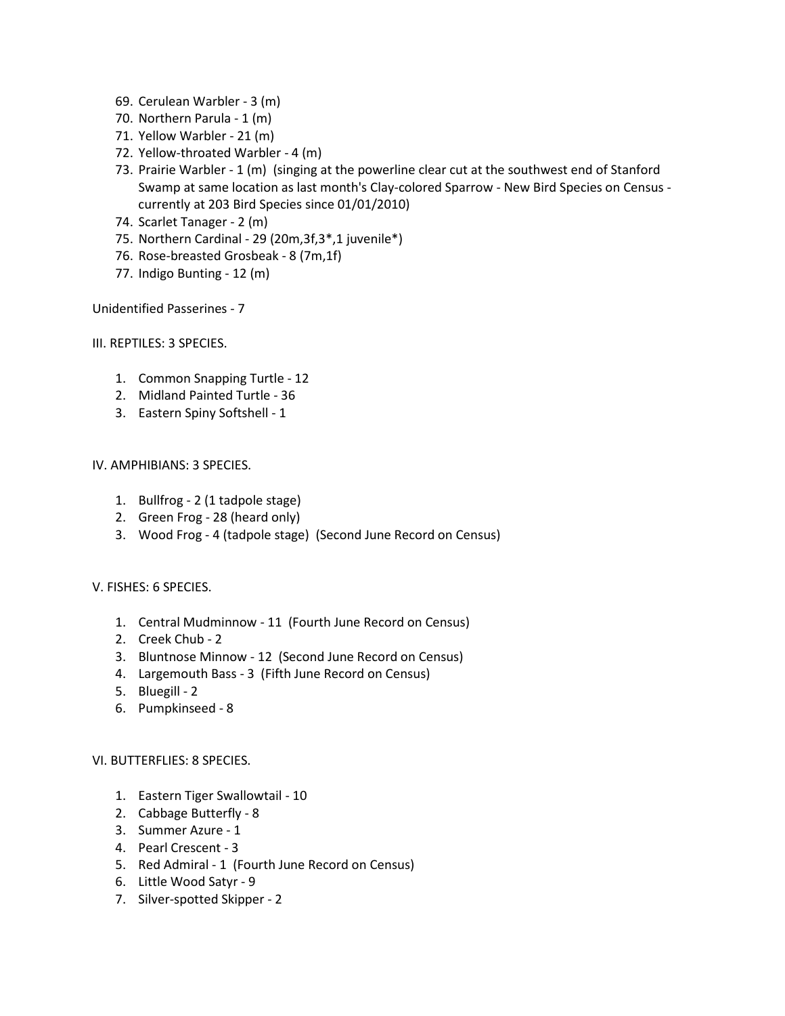- 69. Cerulean Warbler 3 (m)
- 70. Northern Parula 1 (m)
- 71. Yellow Warbler 21 (m)
- 72. Yellow-throated Warbler 4 (m)
- 73. Prairie Warbler 1 (m) (singing at the powerline clear cut at the southwest end of Stanford Swamp at same location as last month's Clay-colored Sparrow - New Bird Species on Census currently at 203 Bird Species since 01/01/2010)
- 74. Scarlet Tanager 2 (m)
- 75. Northern Cardinal 29 (20m,3f,3\*,1 juvenile\*)
- 76. Rose-breasted Grosbeak 8 (7m,1f)
- 77. Indigo Bunting 12 (m)

Unidentified Passerines - 7

III. REPTILES: 3 SPECIES.

- 1. Common Snapping Turtle 12
- 2. Midland Painted Turtle 36
- 3. Eastern Spiny Softshell 1

## IV. AMPHIBIANS: 3 SPECIES.

- 1. Bullfrog 2 (1 tadpole stage)
- 2. Green Frog 28 (heard only)
- 3. Wood Frog 4 (tadpole stage) (Second June Record on Census)

## V. FISHES: 6 SPECIES.

- 1. Central Mudminnow 11 (Fourth June Record on Census)
- 2. Creek Chub 2
- 3. Bluntnose Minnow 12 (Second June Record on Census)
- 4. Largemouth Bass 3 (Fifth June Record on Census)
- 5. Bluegill 2
- 6. Pumpkinseed 8

## VI. BUTTERFLIES: 8 SPECIES.

- 1. Eastern Tiger Swallowtail 10
- 2. Cabbage Butterfly 8
- 3. Summer Azure 1
- 4. Pearl Crescent 3
- 5. Red Admiral 1 (Fourth June Record on Census)
- 6. Little Wood Satyr 9
- 7. Silver-spotted Skipper 2